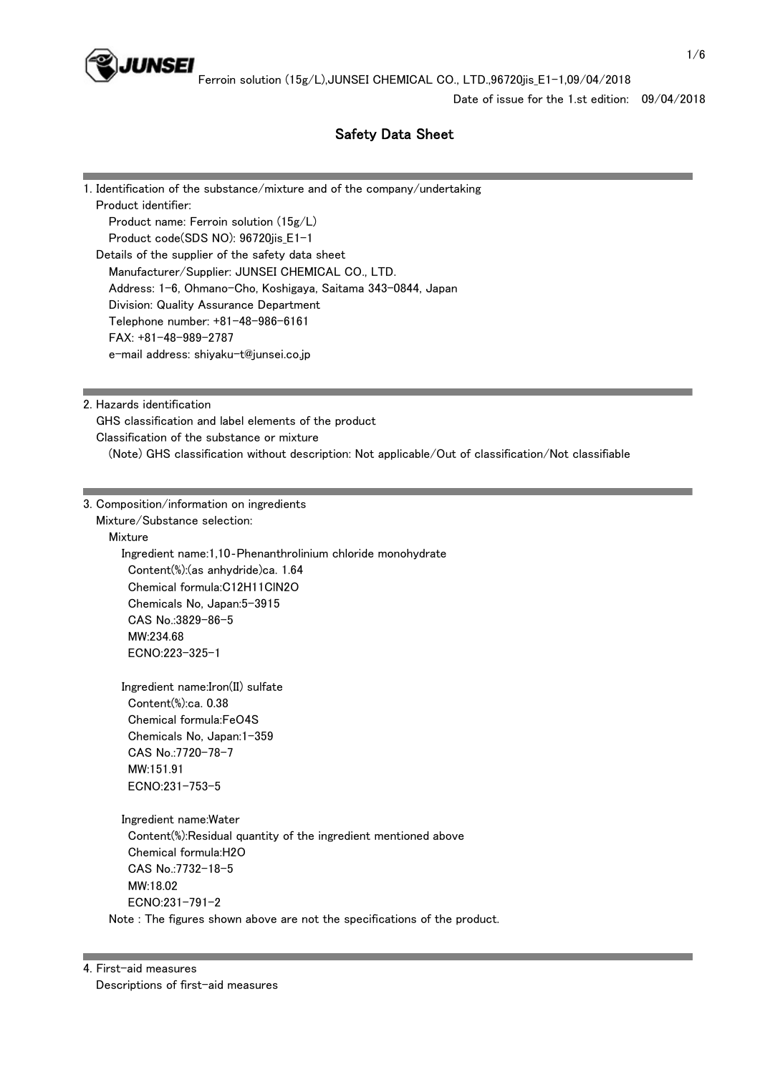

Date of issue for the 1.st edition: 09/04/2018

# Safety Data Sheet

1. Identification of the substance/mixture and of the company/undertaking Product identifier: Product name: Ferroin solution (15g/L) Product code(SDS NO): 96720jis\_E1-1 Details of the supplier of the safety data sheet Manufacturer/Supplier: JUNSEI CHEMICAL CO., LTD. Address: 1-6, Ohmano-Cho, Koshigaya, Saitama 343-0844, Japan Division: Quality Assurance Department Telephone number: +81-48-986-6161 FAX: +81-48-989-2787 e-mail address: shiyaku-t@junsei.co.jp

2. Hazards identification

 GHS classification and label elements of the product Classification of the substance or mixture (Note) GHS classification without description: Not applicable/Out of classification/Not classifiable

3. Composition/information on ingredients Mixture/Substance selection:

Mixture

 Ingredient name:1,10‐Phenanthrolinium chloride monohydrate Content(%):(as anhydride)ca. 1.64 Chemical formula:C12H11ClN2O Chemicals No, Japan:5-3915 CAS No.:3829-86-5 MW:234.68 ECNO:223-325-1

 Ingredient name:Iron(II) sulfate Content(%):ca. 0.38 Chemical formula:FeO4S Chemicals No, Japan:1-359 CAS No.:7720-78-7 MW:151.91 ECNO:231-753-5

 Ingredient name:Water Content(%):Residual quantity of the ingredient mentioned above Chemical formula:H2O CAS No.:7732-18-5 MW:18.02 ECNO:231-791-2

Note : The figures shown above are not the specifications of the product.

4. First-aid measures Descriptions of first-aid measures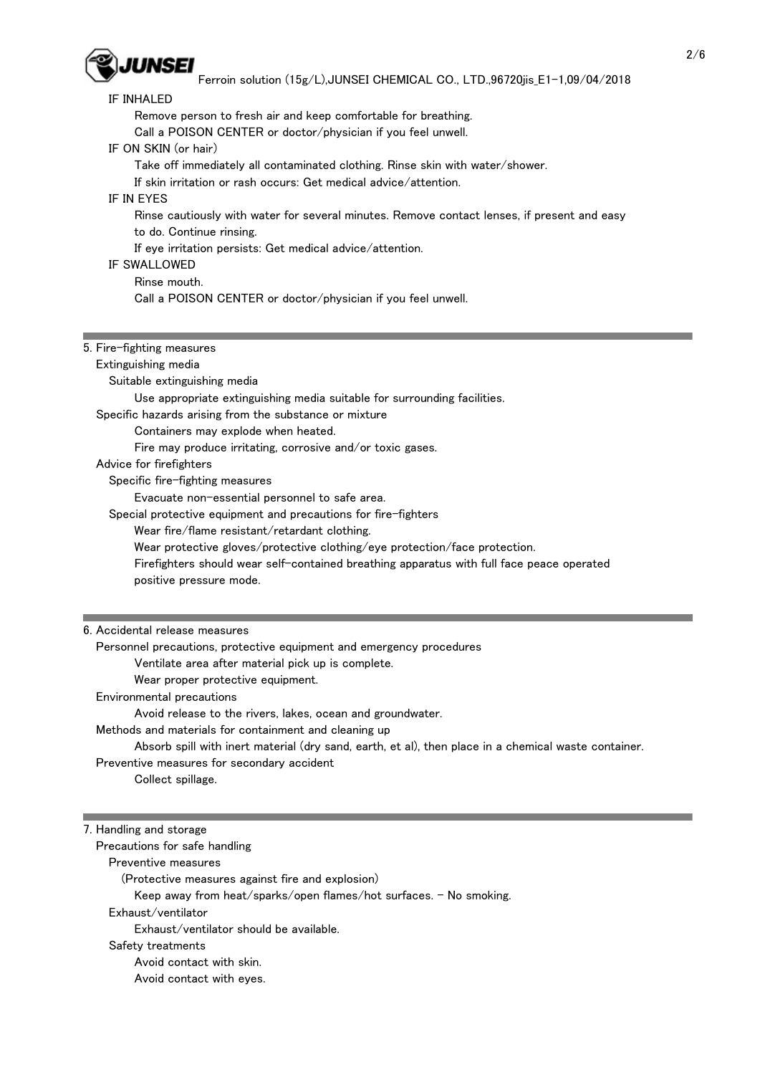

| IF INHALED<br>Remove person to fresh air and keep comfortable for breathing.<br>Call a POISON CENTER or doctor/physician if you feel unwell.<br>IF ON SKIN (or hair)<br>Take off immediately all contaminated clothing. Rinse skin with water/shower.<br>If skin irritation or rash occurs: Get medical advice/attention.<br>IF IN EYES<br>Rinse cautiously with water for several minutes. Remove contact lenses, if present and easy<br>to do. Continue rinsing.<br>If eye irritation persists: Get medical advice/attention.<br><b>IF SWALLOWED</b><br>Rinse mouth.<br>Call a POISON CENTER or doctor/physician if you feel unwell.<br>5. Fire-fighting measures<br>Extinguishing media<br>Suitable extinguishing media<br>Use appropriate extinguishing media suitable for surrounding facilities.<br>Specific hazards arising from the substance or mixture<br>Containers may explode when heated.<br>Fire may produce irritating, corrosive and/or toxic gases. |
|-----------------------------------------------------------------------------------------------------------------------------------------------------------------------------------------------------------------------------------------------------------------------------------------------------------------------------------------------------------------------------------------------------------------------------------------------------------------------------------------------------------------------------------------------------------------------------------------------------------------------------------------------------------------------------------------------------------------------------------------------------------------------------------------------------------------------------------------------------------------------------------------------------------------------------------------------------------------------|
|                                                                                                                                                                                                                                                                                                                                                                                                                                                                                                                                                                                                                                                                                                                                                                                                                                                                                                                                                                       |
|                                                                                                                                                                                                                                                                                                                                                                                                                                                                                                                                                                                                                                                                                                                                                                                                                                                                                                                                                                       |
|                                                                                                                                                                                                                                                                                                                                                                                                                                                                                                                                                                                                                                                                                                                                                                                                                                                                                                                                                                       |
|                                                                                                                                                                                                                                                                                                                                                                                                                                                                                                                                                                                                                                                                                                                                                                                                                                                                                                                                                                       |
|                                                                                                                                                                                                                                                                                                                                                                                                                                                                                                                                                                                                                                                                                                                                                                                                                                                                                                                                                                       |
|                                                                                                                                                                                                                                                                                                                                                                                                                                                                                                                                                                                                                                                                                                                                                                                                                                                                                                                                                                       |
|                                                                                                                                                                                                                                                                                                                                                                                                                                                                                                                                                                                                                                                                                                                                                                                                                                                                                                                                                                       |
|                                                                                                                                                                                                                                                                                                                                                                                                                                                                                                                                                                                                                                                                                                                                                                                                                                                                                                                                                                       |
|                                                                                                                                                                                                                                                                                                                                                                                                                                                                                                                                                                                                                                                                                                                                                                                                                                                                                                                                                                       |
|                                                                                                                                                                                                                                                                                                                                                                                                                                                                                                                                                                                                                                                                                                                                                                                                                                                                                                                                                                       |
|                                                                                                                                                                                                                                                                                                                                                                                                                                                                                                                                                                                                                                                                                                                                                                                                                                                                                                                                                                       |
|                                                                                                                                                                                                                                                                                                                                                                                                                                                                                                                                                                                                                                                                                                                                                                                                                                                                                                                                                                       |
|                                                                                                                                                                                                                                                                                                                                                                                                                                                                                                                                                                                                                                                                                                                                                                                                                                                                                                                                                                       |
|                                                                                                                                                                                                                                                                                                                                                                                                                                                                                                                                                                                                                                                                                                                                                                                                                                                                                                                                                                       |
|                                                                                                                                                                                                                                                                                                                                                                                                                                                                                                                                                                                                                                                                                                                                                                                                                                                                                                                                                                       |
|                                                                                                                                                                                                                                                                                                                                                                                                                                                                                                                                                                                                                                                                                                                                                                                                                                                                                                                                                                       |
|                                                                                                                                                                                                                                                                                                                                                                                                                                                                                                                                                                                                                                                                                                                                                                                                                                                                                                                                                                       |
|                                                                                                                                                                                                                                                                                                                                                                                                                                                                                                                                                                                                                                                                                                                                                                                                                                                                                                                                                                       |
|                                                                                                                                                                                                                                                                                                                                                                                                                                                                                                                                                                                                                                                                                                                                                                                                                                                                                                                                                                       |
|                                                                                                                                                                                                                                                                                                                                                                                                                                                                                                                                                                                                                                                                                                                                                                                                                                                                                                                                                                       |
|                                                                                                                                                                                                                                                                                                                                                                                                                                                                                                                                                                                                                                                                                                                                                                                                                                                                                                                                                                       |
|                                                                                                                                                                                                                                                                                                                                                                                                                                                                                                                                                                                                                                                                                                                                                                                                                                                                                                                                                                       |
|                                                                                                                                                                                                                                                                                                                                                                                                                                                                                                                                                                                                                                                                                                                                                                                                                                                                                                                                                                       |
| Advice for firefighters                                                                                                                                                                                                                                                                                                                                                                                                                                                                                                                                                                                                                                                                                                                                                                                                                                                                                                                                               |
| Specific fire-fighting measures                                                                                                                                                                                                                                                                                                                                                                                                                                                                                                                                                                                                                                                                                                                                                                                                                                                                                                                                       |
| Evacuate non-essential personnel to safe area.                                                                                                                                                                                                                                                                                                                                                                                                                                                                                                                                                                                                                                                                                                                                                                                                                                                                                                                        |
| Special protective equipment and precautions for fire-fighters                                                                                                                                                                                                                                                                                                                                                                                                                                                                                                                                                                                                                                                                                                                                                                                                                                                                                                        |
| Wear fire/flame resistant/retardant clothing.                                                                                                                                                                                                                                                                                                                                                                                                                                                                                                                                                                                                                                                                                                                                                                                                                                                                                                                         |
| Wear protective gloves/protective clothing/eye protection/face protection.                                                                                                                                                                                                                                                                                                                                                                                                                                                                                                                                                                                                                                                                                                                                                                                                                                                                                            |
| Firefighters should wear self-contained breathing apparatus with full face peace operated                                                                                                                                                                                                                                                                                                                                                                                                                                                                                                                                                                                                                                                                                                                                                                                                                                                                             |
|                                                                                                                                                                                                                                                                                                                                                                                                                                                                                                                                                                                                                                                                                                                                                                                                                                                                                                                                                                       |
| positive pressure mode.                                                                                                                                                                                                                                                                                                                                                                                                                                                                                                                                                                                                                                                                                                                                                                                                                                                                                                                                               |
|                                                                                                                                                                                                                                                                                                                                                                                                                                                                                                                                                                                                                                                                                                                                                                                                                                                                                                                                                                       |
| 6. Accidental release measures                                                                                                                                                                                                                                                                                                                                                                                                                                                                                                                                                                                                                                                                                                                                                                                                                                                                                                                                        |
| Personnel precautions, protective equipment and emergency procedures                                                                                                                                                                                                                                                                                                                                                                                                                                                                                                                                                                                                                                                                                                                                                                                                                                                                                                  |
| Ventilate area after material pick up is complete.                                                                                                                                                                                                                                                                                                                                                                                                                                                                                                                                                                                                                                                                                                                                                                                                                                                                                                                    |
| Wear proper protective equipment.                                                                                                                                                                                                                                                                                                                                                                                                                                                                                                                                                                                                                                                                                                                                                                                                                                                                                                                                     |
| Environmental precautions                                                                                                                                                                                                                                                                                                                                                                                                                                                                                                                                                                                                                                                                                                                                                                                                                                                                                                                                             |
|                                                                                                                                                                                                                                                                                                                                                                                                                                                                                                                                                                                                                                                                                                                                                                                                                                                                                                                                                                       |
|                                                                                                                                                                                                                                                                                                                                                                                                                                                                                                                                                                                                                                                                                                                                                                                                                                                                                                                                                                       |
| Avoid release to the rivers, lakes, ocean and groundwater.                                                                                                                                                                                                                                                                                                                                                                                                                                                                                                                                                                                                                                                                                                                                                                                                                                                                                                            |
| Methods and materials for containment and cleaning up                                                                                                                                                                                                                                                                                                                                                                                                                                                                                                                                                                                                                                                                                                                                                                                                                                                                                                                 |
| Absorb spill with inert material (dry sand, earth, et al), then place in a chemical waste container.                                                                                                                                                                                                                                                                                                                                                                                                                                                                                                                                                                                                                                                                                                                                                                                                                                                                  |
| Preventive measures for secondary accident                                                                                                                                                                                                                                                                                                                                                                                                                                                                                                                                                                                                                                                                                                                                                                                                                                                                                                                            |
| Collect spillage.                                                                                                                                                                                                                                                                                                                                                                                                                                                                                                                                                                                                                                                                                                                                                                                                                                                                                                                                                     |
|                                                                                                                                                                                                                                                                                                                                                                                                                                                                                                                                                                                                                                                                                                                                                                                                                                                                                                                                                                       |
|                                                                                                                                                                                                                                                                                                                                                                                                                                                                                                                                                                                                                                                                                                                                                                                                                                                                                                                                                                       |
| 7. Handling and storage                                                                                                                                                                                                                                                                                                                                                                                                                                                                                                                                                                                                                                                                                                                                                                                                                                                                                                                                               |
| Precautions for safe handling                                                                                                                                                                                                                                                                                                                                                                                                                                                                                                                                                                                                                                                                                                                                                                                                                                                                                                                                         |
| Preventive measures                                                                                                                                                                                                                                                                                                                                                                                                                                                                                                                                                                                                                                                                                                                                                                                                                                                                                                                                                   |
| (Protective measures against fire and explosion)                                                                                                                                                                                                                                                                                                                                                                                                                                                                                                                                                                                                                                                                                                                                                                                                                                                                                                                      |
| Keep away from heat/sparks/open flames/hot surfaces. - No smoking.                                                                                                                                                                                                                                                                                                                                                                                                                                                                                                                                                                                                                                                                                                                                                                                                                                                                                                    |
| Exhaust/ventilator                                                                                                                                                                                                                                                                                                                                                                                                                                                                                                                                                                                                                                                                                                                                                                                                                                                                                                                                                    |
| Exhaust/ventilator should be available.                                                                                                                                                                                                                                                                                                                                                                                                                                                                                                                                                                                                                                                                                                                                                                                                                                                                                                                               |
|                                                                                                                                                                                                                                                                                                                                                                                                                                                                                                                                                                                                                                                                                                                                                                                                                                                                                                                                                                       |
| Safety treatments                                                                                                                                                                                                                                                                                                                                                                                                                                                                                                                                                                                                                                                                                                                                                                                                                                                                                                                                                     |
| Avoid contact with skin.<br>Avoid contact with eyes.                                                                                                                                                                                                                                                                                                                                                                                                                                                                                                                                                                                                                                                                                                                                                                                                                                                                                                                  |
|                                                                                                                                                                                                                                                                                                                                                                                                                                                                                                                                                                                                                                                                                                                                                                                                                                                                                                                                                                       |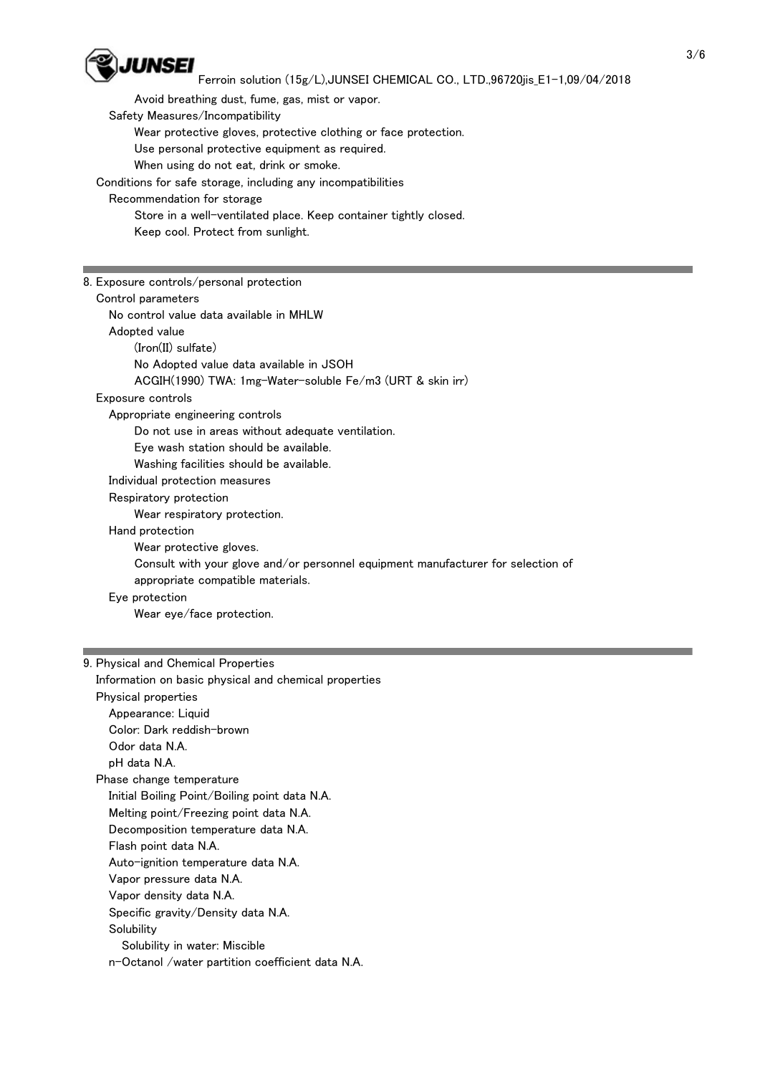

 Avoid breathing dust, fume, gas, mist or vapor. Safety Measures/Incompatibility Wear protective gloves, protective clothing or face protection. Use personal protective equipment as required. When using do not eat, drink or smoke. Conditions for safe storage, including any incompatibilities Recommendation for storage Store in a well-ventilated place. Keep container tightly closed.

Keep cool. Protect from sunlight.

| 8. Exposure controls/personal protection                                         |
|----------------------------------------------------------------------------------|
| Control parameters                                                               |
| No control value data available in MHLW                                          |
| Adopted value                                                                    |
| $(Iron(II) \text{ sulfate})$                                                     |
|                                                                                  |
| No Adopted value data available in JSOH                                          |
| ACGIH(1990) TWA: 1mg-Water-soluble Fe/m3 (URT & skin irr)                        |
| Exposure controls                                                                |
| Appropriate engineering controls                                                 |
| Do not use in areas without adequate ventilation.                                |
| Eye wash station should be available.                                            |
| Washing facilities should be available.                                          |
| Individual protection measures                                                   |
| Respiratory protection                                                           |
| Wear respiratory protection.                                                     |
| Hand protection                                                                  |
| Wear protective gloves.                                                          |
| Consult with your glove and/or personnel equipment manufacturer for selection of |
| appropriate compatible materials.                                                |
| Eye protection                                                                   |
| Wear eye/face protection.                                                        |
|                                                                                  |

# 9. Physical and Chemical Properties Information on basic physical and chemical properties Physical properties Appearance: Liquid Color: Dark reddish-brown Odor data N.A. pH data N.A. Phase change temperature Initial Boiling Point/Boiling point data N.A. Melting point/Freezing point data N.A. Decomposition temperature data N.A. Flash point data N.A. Auto-ignition temperature data N.A. Vapor pressure data N.A. Vapor density data N.A. Specific gravity/Density data N.A. **Solubility**  Solubility in water: Miscible n-Octanol /water partition coefficient data N.A.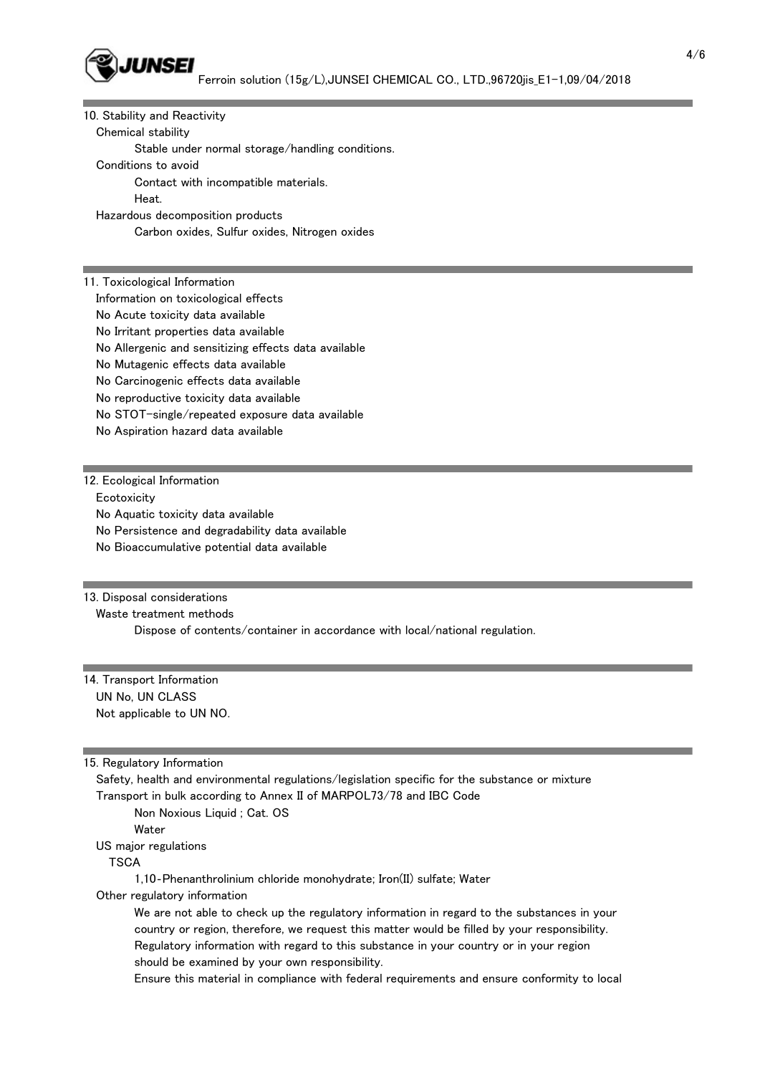

| 10. Stability and Reactivity                         |
|------------------------------------------------------|
| Chemical stability                                   |
| Stable under normal storage/handling conditions.     |
| Conditions to avoid                                  |
| Contact with incompatible materials.                 |
| Heat.                                                |
| Hazardous decomposition products                     |
| Carbon oxides, Sulfur oxides, Nitrogen oxides        |
|                                                      |
|                                                      |
| 11. Toxicological Information                        |
| Information on toxicological effects                 |
| No Acute toxicity data available                     |
| No Irritant properties data available                |
| No Allergenic and sensitizing effects data available |
| No Mutagenic effects data available                  |
| No Carcinogenic effects data available               |
| No reproductive toxicity data available              |
| No STOT-single/repeated exposure data available      |
| No Aspiration hazard data available                  |
|                                                      |
|                                                      |
|                                                      |

12. Ecological Information

**Ecotoxicity** 

No Aquatic toxicity data available

No Persistence and degradability data available

No Bioaccumulative potential data available

#### 13. Disposal considerations

Waste treatment methods

Dispose of contents/container in accordance with local/national regulation.

## 14. Transport Information UN No, UN CLASS Not applicable to UN NO.

15. Regulatory Information

 Safety, health and environmental regulations/legislation specific for the substance or mixture Transport in bulk according to Annex II of MARPOL73/78 and IBC Code

Non Noxious Liquid ; Cat. OS

Water

US major regulations

**TSCA** 

1,10‐Phenanthrolinium chloride monohydrate; Iron(II) sulfate; Water

Other regulatory information

 We are not able to check up the regulatory information in regard to the substances in your country or region, therefore, we request this matter would be filled by your responsibility. Regulatory information with regard to this substance in your country or in your region should be examined by your own responsibility.

Ensure this material in compliance with federal requirements and ensure conformity to local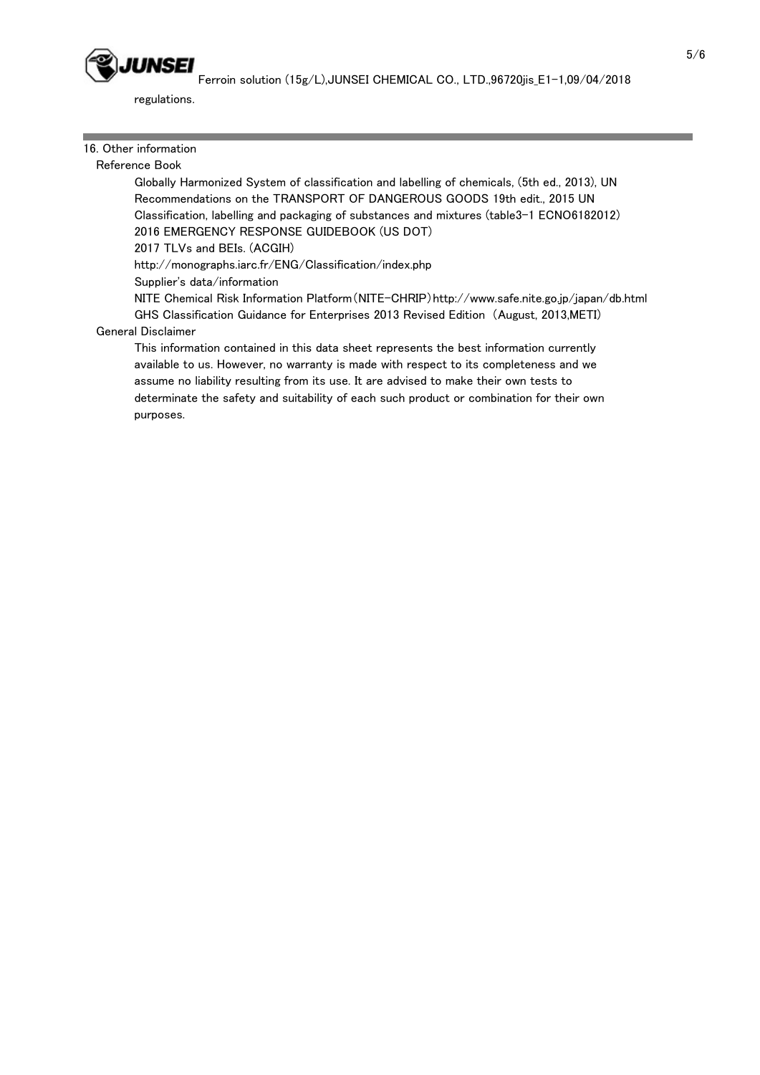

regulations.

## 16. Other information

## Reference Book

 Globally Harmonized System of classification and labelling of chemicals, (5th ed., 2013), UN Recommendations on the TRANSPORT OF DANGEROUS GOODS 19th edit., 2015 UN Classification, labelling and packaging of substances and mixtures (table3-1 ECNO6182012) 2016 EMERGENCY RESPONSE GUIDEBOOK (US DOT)

2017 TLVs and BEIs. (ACGIH)

http://monographs.iarc.fr/ENG/Classification/index.php

Supplier's data/information

 NITE Chemical Risk Information Platform(NITE-CHRIP)http://www.safe.nite.go.jp/japan/db.html GHS Classification Guidance for Enterprises 2013 Revised Edition (August, 2013,METI)

## General Disclaimer

 This information contained in this data sheet represents the best information currently available to us. However, no warranty is made with respect to its completeness and we assume no liability resulting from its use. It are advised to make their own tests to determinate the safety and suitability of each such product or combination for their own purposes.